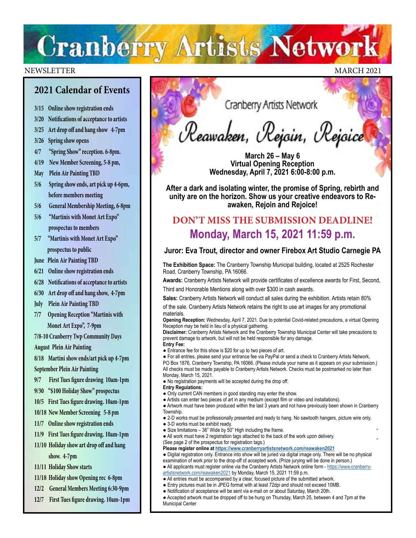# **Cranberry Artists Network**

#### NEWSLETTER MARCH 2021

## **2021 Calendar of Events**

- **3/15 Online show registration ends**
- **3/20 Notifications of acceptance to artists**
- **3/25 Art drop off and hang show 4-7pm**

**3/26 Spring show opens**

- **4/7 "Spring Show" reception. 6-8pm.**
- **4/19 New Member Screening, 5-8 pm,**
- **May Plein Air Painting TBD**
- **5/6 Spring show ends, art pick up 4-6pm, before members meeting**
- **5/6 General Membership Meeting, 6-8pm**
- **5/6 "Martinis with Monet Art Expo" prospectus to members**
- **5/7 "Martinis with Monet Art Expo" prospectus to public**
- **June Plein Air Painting TBD**
- **6/21 Online show registration ends**
- **6/28 Notifications of acceptance to artists**
- **6/30 Art drop off and hang show, 4-7pm**
- **July Plein Air Painting TBD**
- **7/7 Opening Reception "Martinis with Monet Art Expo", 7-9pm**

**7/8-10 Cranberry Twp Community Days**

**August Plein Air Painting**

**8/18 Martini show ends/art pick up 4-7pm September Plein Air Painting**

- **9/7 First Tues figure drawing 10am-1pm**
- **9/30 "\$100 Holiday Show" prospectus**
- **10/5 First Tues figure drawing. 10am-1pm**
- **10/18 New Member Screening 5-8 pm**
- **11/7 Online show registration ends**
- **11/9 First Tues figure drawing. 10am-1pm 11/10 Holiday show art drop off and hang**

 **show. 4-7pm**

- **11/11 Holiday Show starts**
- **11/18 Holiday show Opening rec 6-8pm**
- **12/2 General Members Meeting 6:30-9pm**
- **12/7 First Tues figure drawing. 10am-1pm**

Cranberry Artists Network

Reawaken, Rejoin, Rejoice

**March 26 – May 6 Virtual Opening Reception Wednesday, April 7, 2021 6:00-8:00 p.m.**

**After a dark and isolating winter, the promise of Spring, rebirth and unity are on the horizon. Show us your creative endeavors to Reawaken, Rejoin and Rejoice!**

## **DON'T MISS THE SUBMISSION DEADLINE! Monday, March 15, 2021 11:59 p.m.**

### **Juror: Eva Trout, director and owner Firebox Art Studio Carnegie PA**

**The Exhibition Space:** The Cranberry Township Municipal building, located at 2525 Rochester Road, Cranberry Township, PA 16066.

**Awards:** Cranberry Artists Network will provide certificates of excellence awards for First, Second, Third and Honorable Mentions along with over \$300 in cash awards.

**Sales:** Cranberry Artists Network will conduct all sales during the exhibition. Artists retain 80%

of the sale. Cranberry Artists Network retains the right to use art images for any promotional materials.

**Opening Reception:** Wednesday, April 7, 2021. Due to potential Covid-related precautions, a virtual Opening Reception may be held in lieu of a physical gathering.

**Disclaimer:** Cranberry Artists Network and the Cranberry Township Municipal Center will take precautions to prevent damage to artwork, but will not be held responsible for any damage. **Entry Fee:**

● Entrance fee for this show is \$20 for up to two pieces of art.

● For all entries, please send your entrance fee via PayPal or send a check to Cranberry Artists Network, PO Box 1876, Cranberry Township, PA 16066. (Please include your name as it appears on your submission.) All checks must be made payable to Cranberry Artists Network. Checks must be postmarked no later than Monday, March 15, 2021.

- No registration payments will be accepted during the drop off.
- **Entry Regulations:**
- Only current CAN members in good standing may enter the show.
- Artists can enter two pieces of art in any medium (except film or video and installations).

● Artwork must have been produced within the last 3 years and not have previously been shown in Cranberry Township.

- 2-D works must be professionally presented and ready to hang. No sawtooth hangers, picture wire only.
- 3-D works must be exhibit ready.
- Size limitations 36" Wide by 50" High including the frame.
- All work must have 2 registration tags attached to the back of the work upon delivery. (See page 2 of the prospectus for registration tags.)

**Please register online at<https://www.cranberryartistsnetwork.com/reawaken2021>**

● Digital registration only. Entrance into show will be juried via digital image only. There will be no physical examination of work prior to the drop-off of accepted work. (Prize jurying will be done in person.)

- All applicants must register online via the Cranberry Artists Network online form [https://www.cranberry-](https://www.cranberryartistsnetwork.com/reawaken2021)
- [artistsnetwork.com/reawaken2021](https://www.cranberryartistsnetwork.com/reawaken2021) by Monday, March 15, 2021 11:59 p.m. ● All entries must be accompanied by a clear, focused picture of the submitted artwork.
- Entry pictures must be in JPEG format with at least 72dpi and should not exceed 10MB.
- Notification of acceptance will be sent via e-mail on or about Saturday, March 20th.
- Accepted artwork must be dropped off to be hung on Thursday, March 25, between 4 and 7pm at the Municipal Center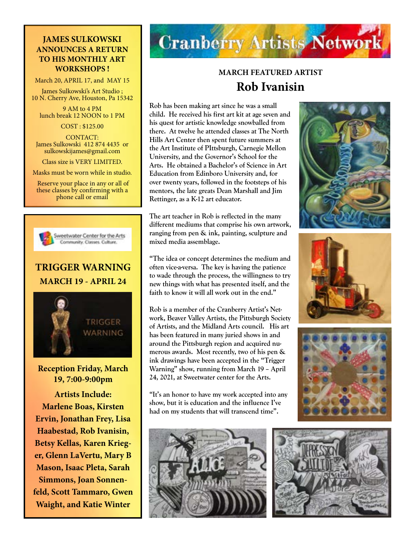## **JAMES SULKOWSKI ANNOUNCES A RETURN TO HIS MONTHLY ART WORKSHOPS !**

March 20, APRIL 17, and MAY 15

James Sulkowski's Art Studio ; 10 N. Cherry Ave, Houston, Pa 15342

9 AM to 4 PM lunch break 12 NOON to 1 PM

COST : \$125.00

CONTACT: James Sulkowski 412 874 4435 or sulkowskijames@gmail.com

Class size is VERY LIMITED.

Masks must be worn while in studio.

 Reserve your place in any or all of these classes by confirming with a phone call or email



Sweetwater Center for the Arts Community, Classes, Culture,

## **TRIGGER WARNING MARCH 19 - APRIL 24**



**Reception Friday, March 19, 7:00-9:00pm** 

**Artists Include: Marlene Boas, Kirsten Ervin, Jonathan Frey, Lisa Haabestad, Rob Ivanisin, Betsy Kellas, Karen Krieger, Glenn LaVertu, Mary B Mason, Isaac Pleta, Sarah Simmons, Joan Sonnenfeld, Scott Tammaro, Gwen Waight, and Katie Winter**

# **Cranberry Artists Network**

## **MARCH FEATURED ARTIST Rob Ivanisin**

**Rob has been making art since he was a small child. He received his first art kit at age seven and his quest for artistic knowledge snowballed from there. At twelve he attended classes at The North Hills Art Center then spent future summers at the Art Institute of PIttsburgh, Carnegie Mellon University, and the Governor's School for the Arts. He obtained a Bachelor's of Science in Art Education from Edinboro University and, for over twenty years, followed in the footsteps of his mentors, the late greats Dean Marshall and Jim Rettinger, as a K-12 art educator.**

**The art teacher in Rob is reflected in the many different mediums that comprise his own artwork, ranging from pen & ink, painting, sculpture and mixed media assemblage.** 

**"The idea or concept determines the medium and often vice-a-versa. The key is having the patience to wade through the process, the willingness to try new things with what has presented itself, and the faith to know it will all work out in the end."**

**Rob is a member of the Cranberry Artist's Network, Beaver Valley Artists, the Pittsburgh Society of Artists, and the Midland Arts council. His art has been featured in many juried shows in and around the Pittsburgh region and acquired numerous awards. Most recently, two of his pen & ink drawings have been accepted in the "Trigger Warning" show, running from March 19 – April 24, 2021, at Sweetwater center for the Arts.** 

**"It's an honor to have my work accepted into any show, but it is education and the influence I've had on my students that will transcend time".**









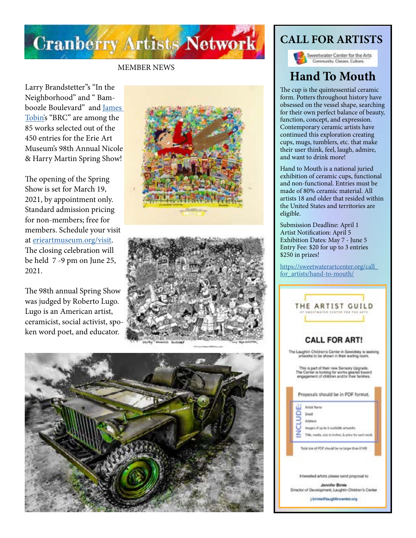

### MEMBER NEWS

Larry Brandstetter"s "In the Neighborhood" and " Bam boozle Boulevard" and [James](http://jamestobinart.com/)  [Tobin'](http://jamestobinart.com/)s "BRC" are among the 85 works selected out of the 450 entries for the Erie Art Museum's 98th Annual Nicole & Harry Martin Spring Show!

The opening of the Spring Show is set for March 19, 2021, by appointment only. Standard admission pricing for non-members; free for members. Schedule your visit at [erieartmuseum.org/visit.](http://erieartmuseum.org/visit) The closing celebration will be held 7 -9 pm on June 25, 2021.

The 98th annual Spring Show was judged by Roberto Lugo. Lugo is an American artist, ceramicist, social activist, spo ken word poet, and educator.







## **CALL FOR ARTISTS**

Sweetwater Center for the Arts Community, Classes, Culture.

# **Hand To Mouth**

The cup is the quintessential ceramic form. Potters throughout history have obsessed on the vessel shape, searching for their own perfect balance of beauty, function, concept, and expression. Contemporary ceramic artists have continued this exploration creating cups, mugs, tumblers, etc. that make their user think, feel, laugh, admire, and want to drink more!

Hand to Mouth is a national juried exhibition of ceramic cups, functional and non-functional. Entries must be made of 80% ceramic material. All artists 18 and older that resided within the United States and territories are eligible.

Submission Deadline: April 1 Artist Notification: April 5 Exhibition Dates: May 7 - June 5 Entry Fee: \$20 for up to 3 entries \$250 in prizes!

[https://sweetwaterartcenter.org/call\\_](https://sweetwaterartcenter.org/call_for_artists/hand-to-mouth/) [for\\_artists/hand-to-mouth/](https://sweetwaterartcenter.org/call_for_artists/hand-to-mouth/)

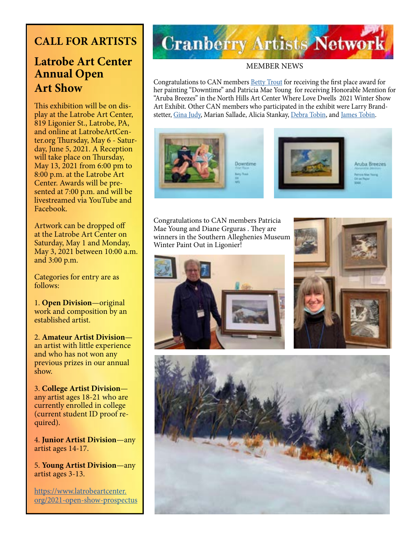## **CALL FOR ARTISTS**

## **Latrobe Art Center Annual Open Art Show**

This exhibition will be on display at the Latrobe Art Center, 819 Ligonier St., Latrobe, PA, and online at LatrobeArtCenter.org Thursday, May 6 - Saturday, June 5, 2021. A Reception will take place on Thursday, May 13, 2021 from 6:00 pm to 8:00 p.m. at the Latrobe Art Center. Awards will be presented at 7:00 p.m. and will be livestreamed via YouTube and Facebook.

Artwork can be dropped off at the Latrobe Art Center on Saturday, May 1 and Monday, May 3, 2021 between 10:00 a.m. and 3:00 p.m.

Categories for entry are as follows:

1. **Open Division**—original work and composition by an established artist.

2. **Amateur Artist Division** an artist with little experience and who has not won any previous prizes in our annual show.

3. **College Artist Division** any artist ages 18-21 who are currently enrolled in college (current student ID proof required).

4. **Junior Artist Division**—any artist ages 14-17.

5. **Young Artist Division**—any artist ages 3-13.

[https://www.latrobeartcenter.](https://www.latrobeartcenter.org/2021-open-show-prospectus) [org/2021-open-show-prospectus](https://www.latrobeartcenter.org/2021-open-show-prospectus)

# **Cranberry Artists Network**

### MEMBER NEWS

Congratulations to CAN members **Betty Trout** for receiving the first place award for her painting "Downtime" and Patricia Mae Young for receiving Honorable Mention for "Aruba Breezes" in the North Hills Art Center Where Love Dwells 2021 Winter Show Art Exhibit. Other CAN members who participated in the exhibit were Larry Brand-stetter, [Gina Judy](https://www.ginajudyfineart.com/), Marian Sallade, Alicia Stankay, [Debra Tobin,](http://www.debratobinart.com/) and [James Tobin](http://jamestobinart.com/).



Congratulations to CAN members Patricia Mae Young and Diane Grguras . They are winners in the Southern Alleghenies Museum Winter Paint Out in Ligonier!





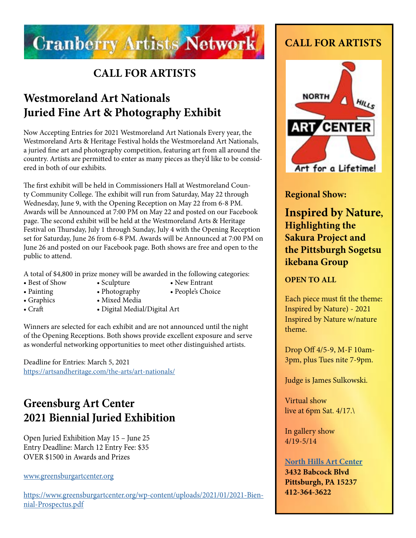

## **CALL FOR ARTISTS**

# **Westmoreland Art Nationals Juried Fine Art & Photography Exhibit**

Now Accepting Entries for 2021 Westmoreland Art Nationals Every year, the Westmoreland Arts & Heritage Festival holds the Westmoreland Art Nationals, a juried fine art and photography competition, featuring art from all around the country. Artists are permitted to enter as many pieces as they'd like to be considered in both of our exhibits.

The first exhibit will be held in Commissioners Hall at Westmoreland County Community College. The exhibit will run from Saturday, May 22 through Wednesday, June 9, with the Opening Reception on May 22 from 6-8 PM. Awards will be Announced at 7:00 PM on May 22 and posted on our Facebook page. The second exhibit will be held at the Westmoreland Arts & Heritage Festival on Thursday, July 1 through Sunday, July 4 with the Opening Reception set for Saturday, June 26 from 6-8 PM. Awards will be Announced at 7:00 PM on June 26 and posted on our Facebook page. Both shows are free and open to the public to attend.

A total of \$4,800 in prize money will be awarded in the following categories:

- 
- Best of Show Sculpture New Entrant
- 
- Painting Photography People's Choice
- 
- 
- Graphics Mixed Media
- 
- Craft Digital Medial/Digital Art

Winners are selected for each exhibit and are not announced until the night of the Opening Receptions. Both shows provide excellent exposure and serve as wonderful networking opportunities to meet other distinguished artists.

Deadline for Entries: March 5, 2021 <https://artsandheritage.com/the-arts/art-nationals/>

# **Greensburg Art Center 2021 Biennial Juried Exhibition**

Open Juried Exhibition May 15 – June 25 Entry Deadline: March 12 Entry Fee: \$35 OVER \$1500 in Awards and Prizes

### [www.greensburgartcenter.org](http://www.greensburgartcenter.org)

[https://www.greensburgartcenter.org/wp-content/uploads/2021/01/2021-Bien](https://www.greensburgartcenter.org/wp-content/uploads/2021/01/2021-Biennial-Prospectus.pdf)[nial-Prospectus.pdf](https://www.greensburgartcenter.org/wp-content/uploads/2021/01/2021-Biennial-Prospectus.pdf)

## **CALL FOR ARTISTS**



## **Regional Show:**

**Inspired by Nature, Highlighting the Sakura Project and the Pittsburgh Sogetsu ikebana Group** 

**OPEN TO ALL**

Each piece must fit the theme: Inspired by Nature) - 2021 Inspired by Nature w/nature theme.

Drop Off 4/5-9, M-F 10am-3pm, plus Tues nite 7-9pm.

Judge is James Sulkowski.

Virtual show live at 6pm Sat. 4/17.\

In gallery show 4/19-5/14

## **[North Hills Art Center](https://www.northhillsartcenter.org/)**

**3432 Babcock Blvd Pittsburgh, PA 15237 412-364-3622**